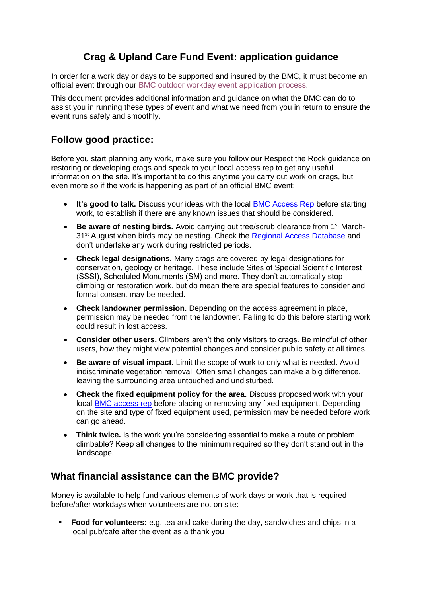# **Crag & Upland Care Fund Event: application guidance**

In order for a work day or days to be supported and insured by the BMC, it must become an official event through our BMC outdoor workday [event application process.](https://webforms.thebmc.co.uk/crag-and-upland-care-fund-event-application)

This document provides additional information and guidance on what the BMC can do to assist you in running these types of event and what we need from you in return to ensure the event runs safely and smoothly.

## **Follow good practice:**

Before you start planning any work, make sure you follow our Respect the Rock guidance on restoring or developing crags and speak to your local access rep to get any useful information on the site. It's important to do this anytime you carry out work on crags, but even more so if the work is happening as part of an official BMC event:

- It's good to talk. Discuss your ideas with the local [BMC Access Rep](https://intouch.thebmc.co.uk/respectrock/clkn/https/www.thebmc.co.uk/list-of-bmc-access-reps) before starting work, to establish if there are any known issues that should be considered.
- **Be aware of nesting birds.** Avoid carrying out tree/scrub clearance from 1st March-31<sup>st</sup> August when birds may be nesting. Check the [Regional Access Database](https://intouch.thebmc.co.uk/respectrock/clkn/http/www.thebmc.co.uk/rad) and don't undertake any work during restricted periods.
- **Check legal designations.** Many crags are covered by legal designations for conservation, geology or heritage. These include Sites of Special Scientific Interest (SSSI), Scheduled Monuments (SM) and more. They don't automatically stop climbing or restoration work, but do mean there are special features to consider and formal consent may be needed.
- **Check landowner permission.** Depending on the access agreement in place, permission may be needed from the landowner. Failing to do this before starting work could result in lost access.
- **Consider other users.** Climbers aren't the only visitors to crags. Be mindful of other users, how they might view potential changes and consider public safety at all times.
- **Be aware of visual impact.** Limit the scope of work to only what is needed. Avoid indiscriminate vegetation removal. Often small changes can make a big difference, leaving the surrounding area untouched and undisturbed.
- **Check the fixed equipment policy for the area.** Discuss proposed work with your local [BMC access rep](https://intouch.thebmc.co.uk/respectrock/clkn/https/www.thebmc.co.uk/list-of-bmc-access-reps) before placing or removing any fixed equipment. Depending on the site and type of fixed equipment used, permission may be needed before work can go ahead.
- **Think twice.** Is the work you're considering essential to make a route or problem climbable? Keep all changes to the minimum required so they don't stand out in the landscape.

### **What financial assistance can the BMC provide?**

Money is available to help fund various elements of work days or work that is required before/after workdays when volunteers are not on site:

▪ **Food for volunteers:** e.g. tea and cake during the day, sandwiches and chips in a local pub/cafe after the event as a thank you